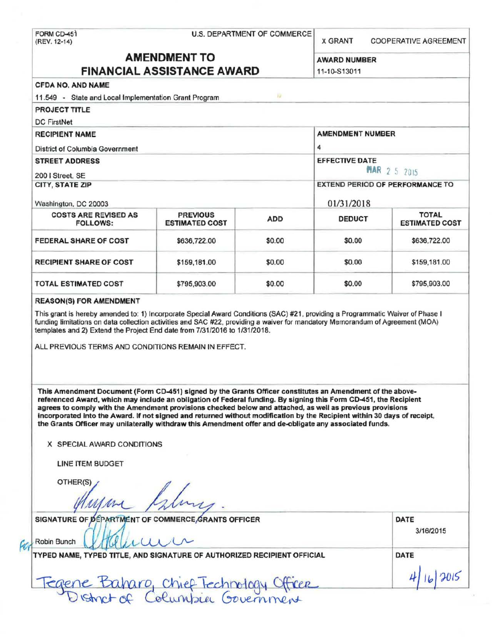| <b>AMENDMENT TO</b><br><b>FINANCIAL ASSISTANCE AWARD</b><br><b>CFDA NO. AND NAME</b><br>11.549 - State and Local Implementation Grant Program<br><b>PROJECT TITLE</b><br><b>DC FirstNet</b><br><b>RECIPIENT NAME</b><br>District of Columbia Government<br><b>STREET ADDRESS</b><br>200   Street, SE<br>CITY, STATE ZIP<br>Washington, DC 20003<br><b>COSTS ARE REVISED AS</b><br><b>PREVIOUS</b><br><b>ESTIMATED COST</b><br><b>FOLLOWS:</b><br>FEDERAL SHARE OF COST<br>\$636,722.00<br><b>RECIPIENT SHARE OF COST</b><br>\$159,181.00<br>TOTAL ESTIMATED COST<br>\$795,903.00<br><b>REASON(S) FOR AMENDMENT</b> | 12<br><b>ADD</b><br>\$0.00<br>\$0.00<br>\$0.00 | <b>AWARD NUMBER</b><br>11-10-S13011<br><b>AMENDMENT NUMBER</b><br>4<br><b>EFFECTIVE DATE</b><br>01/31/2018<br><b>DEDUCT</b><br>\$0.00<br>\$0.00<br>\$0.00 | <b>MAR 2 5 2015</b><br><b>EXTEND PERIOD OF PERFORMANCE TO</b><br><b>TOTAL</b><br><b>ESTIMATED COST</b><br>\$636,722.00<br>\$159,181.00 |
|--------------------------------------------------------------------------------------------------------------------------------------------------------------------------------------------------------------------------------------------------------------------------------------------------------------------------------------------------------------------------------------------------------------------------------------------------------------------------------------------------------------------------------------------------------------------------------------------------------------------|------------------------------------------------|-----------------------------------------------------------------------------------------------------------------------------------------------------------|----------------------------------------------------------------------------------------------------------------------------------------|
|                                                                                                                                                                                                                                                                                                                                                                                                                                                                                                                                                                                                                    |                                                |                                                                                                                                                           |                                                                                                                                        |
|                                                                                                                                                                                                                                                                                                                                                                                                                                                                                                                                                                                                                    |                                                |                                                                                                                                                           |                                                                                                                                        |
|                                                                                                                                                                                                                                                                                                                                                                                                                                                                                                                                                                                                                    |                                                |                                                                                                                                                           |                                                                                                                                        |
|                                                                                                                                                                                                                                                                                                                                                                                                                                                                                                                                                                                                                    |                                                |                                                                                                                                                           |                                                                                                                                        |
|                                                                                                                                                                                                                                                                                                                                                                                                                                                                                                                                                                                                                    |                                                |                                                                                                                                                           |                                                                                                                                        |
|                                                                                                                                                                                                                                                                                                                                                                                                                                                                                                                                                                                                                    |                                                |                                                                                                                                                           |                                                                                                                                        |
|                                                                                                                                                                                                                                                                                                                                                                                                                                                                                                                                                                                                                    |                                                |                                                                                                                                                           |                                                                                                                                        |
|                                                                                                                                                                                                                                                                                                                                                                                                                                                                                                                                                                                                                    |                                                |                                                                                                                                                           |                                                                                                                                        |
|                                                                                                                                                                                                                                                                                                                                                                                                                                                                                                                                                                                                                    |                                                |                                                                                                                                                           |                                                                                                                                        |
|                                                                                                                                                                                                                                                                                                                                                                                                                                                                                                                                                                                                                    |                                                |                                                                                                                                                           |                                                                                                                                        |
|                                                                                                                                                                                                                                                                                                                                                                                                                                                                                                                                                                                                                    |                                                |                                                                                                                                                           |                                                                                                                                        |
|                                                                                                                                                                                                                                                                                                                                                                                                                                                                                                                                                                                                                    |                                                |                                                                                                                                                           |                                                                                                                                        |
|                                                                                                                                                                                                                                                                                                                                                                                                                                                                                                                                                                                                                    |                                                |                                                                                                                                                           |                                                                                                                                        |
|                                                                                                                                                                                                                                                                                                                                                                                                                                                                                                                                                                                                                    |                                                |                                                                                                                                                           |                                                                                                                                        |
|                                                                                                                                                                                                                                                                                                                                                                                                                                                                                                                                                                                                                    |                                                |                                                                                                                                                           |                                                                                                                                        |
|                                                                                                                                                                                                                                                                                                                                                                                                                                                                                                                                                                                                                    |                                                |                                                                                                                                                           |                                                                                                                                        |
|                                                                                                                                                                                                                                                                                                                                                                                                                                                                                                                                                                                                                    |                                                |                                                                                                                                                           |                                                                                                                                        |
|                                                                                                                                                                                                                                                                                                                                                                                                                                                                                                                                                                                                                    |                                                |                                                                                                                                                           | \$795,903.00                                                                                                                           |
| ALL PREVIOUS TERMS AND CONDITIONS REMAIN IN EFFECT.                                                                                                                                                                                                                                                                                                                                                                                                                                                                                                                                                                |                                                |                                                                                                                                                           |                                                                                                                                        |
| This Amendment Document (Form CD-451) signed by the Grants Officer constitutes an Amendment of the above-<br>referenced Award, which may include an obligation of Federal funding. By signing this Form CD-451, the Recipient<br>agrees to comply with the Amendment provisions checked below and attached, as well as previous provisions<br>incorporated into the Award. If not signed and returned without modification by the Recipient within 30 days of receipt,<br>the Grants Officer may unilaterally withdraw this Amendment offer and de-obligate any associated funds.<br>X SPECIAL AWARD CONDITIONS    |                                                |                                                                                                                                                           |                                                                                                                                        |
| LINE ITEM BUDGET<br>OTHER(S)                                                                                                                                                                                                                                                                                                                                                                                                                                                                                                                                                                                       |                                                |                                                                                                                                                           |                                                                                                                                        |
|                                                                                                                                                                                                                                                                                                                                                                                                                                                                                                                                                                                                                    |                                                |                                                                                                                                                           |                                                                                                                                        |
| SIGNATURE OF DEPARTMENT OF COMMERCE GRANTS OFFICER                                                                                                                                                                                                                                                                                                                                                                                                                                                                                                                                                                 |                                                |                                                                                                                                                           | DATE                                                                                                                                   |
| Robin Bunch                                                                                                                                                                                                                                                                                                                                                                                                                                                                                                                                                                                                        |                                                |                                                                                                                                                           | 3/16/2015                                                                                                                              |
| TYPED NAME, TYPED TITLE, AND SIGNATURE OF AUTHORIZED RECIPIENT OFFICIAL                                                                                                                                                                                                                                                                                                                                                                                                                                                                                                                                            |                                                |                                                                                                                                                           | DATE                                                                                                                                   |
|                                                                                                                                                                                                                                                                                                                                                                                                                                                                                                                                                                                                                    |                                                |                                                                                                                                                           |                                                                                                                                        |
| Fegene Baharo, Chief Technology Officer                                                                                                                                                                                                                                                                                                                                                                                                                                                                                                                                                                            |                                                |                                                                                                                                                           |                                                                                                                                        |